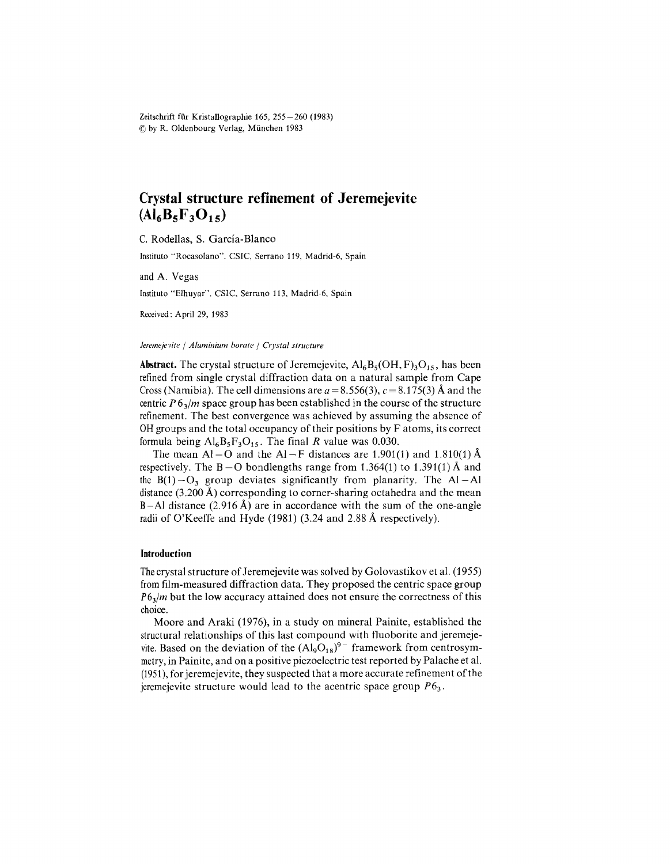Zeitschrift für Kristallographie 165, 255-260 (1983)  $O$  by R. Oldenbourg Verlag, München 1983

# **CrystaI structure refinement of Jeremejevite**  $(AI_6B_5F_3O_{15})$

C. Rodellas, S. García-Blanco

Instituto "Rocasolano". CSIC, Serrano 119, Madrid-6, Spain

and A. Vegas

Instituto"Elhuyar". CSIC, Serrano 113, Madrid-6, Spain

Received: A pril 29, 1983

#### *Jeremejevile* / *Aluminium borale* / *Cryslal slruclure*

**Abstract.** The crystal structure of Jeremejevite,  $\text{Al}_6\text{B}_5(\text{OH}, \text{F})_3\text{O}_{15}$ , has been refined from single crystal diffraction data on a natural sample from Cape Cross (Namibia). The cell dimensions are  $a = 8.556(3)$ ,  $c = 8.175(3)$  Å and the centric  $P_0/$ *m* space group has been established in the course of the structure refinement. The best convergence was achieved by assuming the absence of OHgroups and the total occupancy of their positions by F atoms, its correct formula being  $Al<sub>6</sub>B<sub>5</sub>F<sub>3</sub>O<sub>15</sub>$ . The final *R* value was 0.030.

The mean Al-O and the Al-F distances are 1.901(1) and 1.810(1) Å respectively. The  $B - O$  bondlengths range from 1.364(1) to 1.391(1) Å and the  $B(1) - O_3$  group deviates significantly from planarity. The Al-Al distance  $(3.200 \text{ Å})$  corresponding to corner-sharing octahedra and the mean B-Al distance (2.916 Å) are in accordance with the sum of the one-angle radii of O'Keeffe and Hyde (1981) (3.24 and 2.88 Á respectively).

## **Introduction**

Thecrystal structure of Jeremejevite was solved by Golovastikov et al. (1955) fromfilm-measured diffraction data. They proposed the centric space group *P6<sub>3</sub>/m* but the low accuracy attained does not ensure the correctness of this choice.

Moore and Araki (1976), in a study on mineral Painite, established the structural relationships of this last compound with tluoborite and jeremejevite. Based on the deviation of the  $(AI_9O_{18})^{9-}$  framework from centrosymmetry, in Painite, and on a positive piezoelectric test reported by Palache et al.  $(1951)$ , for jeremejevite, they suspected that a more accurate refinement of the ieremeievite structure would lead to the acentric space group  $P6_3$ .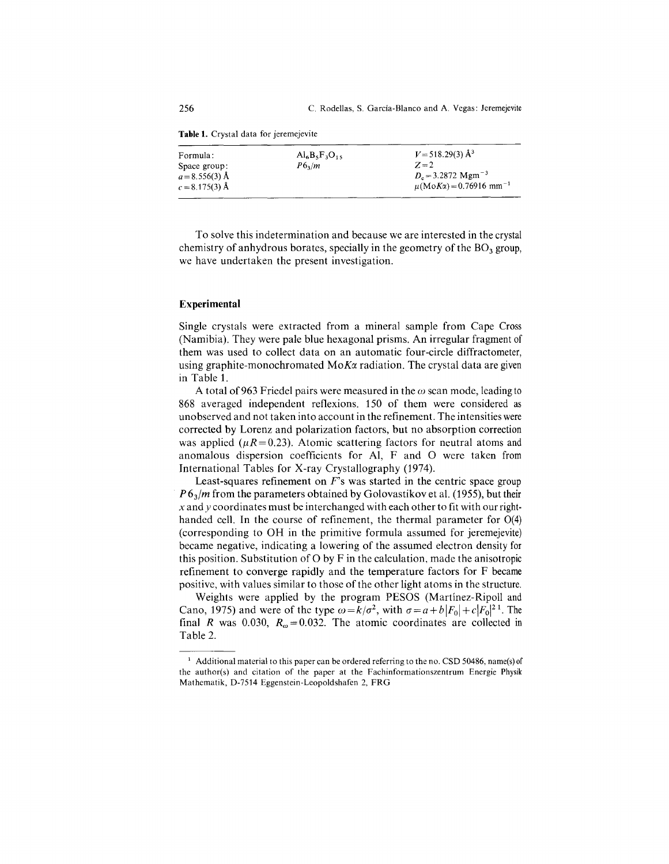**Table 1.** Crystal data for jeremejevite

| Formula:<br>Space group:<br>$a = 8.556(3)$ Å<br>$c = 8.175(3)$ Å | $Al6B3F3O15$<br>$P6_3/m$ | $V = 518.29(3)$ Å <sup>3</sup><br>$Z=2$<br>$D_e = 3.2872$ Mgm <sup>-3</sup><br>$\mu(MoK\alpha) = 0.76916$ mm <sup>-1</sup> |
|------------------------------------------------------------------|--------------------------|----------------------------------------------------------------------------------------------------------------------------|
|                                                                  |                          |                                                                                                                            |

To solve this indetermination and because we are interested in the crystal chemistry of anhydrous borates, specially in the geometry of the  $BO<sub>3</sub>$  group, we have undertaken the present investigation.

### **Experimental**

Single crystals were extracted from a mineral sample from Cape Cross (Namibia). They were pale blue hexagonal prisms. An irregular fragment of them was used to collect data on an automatic four-circle diffractometer, using graphite-monochromated MoKa radiation. The crystal data are given in Table 1.

A total of 963 Friedel pairs were measured in the  $\omega$  scan mode, leading to 868 averaged independent reflexions. 150 of them were considered as unobserved and not taken into account in the refinement. The intensities were corrected by Lorenz and polarization factors, but no absorption correction was applied  $(\mu R = 0.23)$ . Atomic scattering factors for neutral atoms and anomalous dispersion coefficients for Al, F and O were taken from International Tables for X-ray Crystallography (1974).

Least-squares refinement on *F's* was started in the centric space group *P* 6<sub>3</sub>/m from the parameters obtained by Golovastikov et al. (1955), but their *x* and *y* coordinates must be interchanged with each other to fit with our righthanded cell. In the course of refinement, the thermal parameter for 0(4) (corresponding to OH in the primitive formula assumed for jeremejevite) beca me negative, indicating a lowering of the assumed electron density for this position. Substitution of O by F in the calculation, made the anisotropic refinement to converge rapidly and the temperature factors for F became positive, with values similar to those of the other light atoms in the structure.

Weights were applied by the program PESOS (Martínez-Ripoll and Cano, 1975) and were of the type  $\omega = k/\sigma^2$ , with  $\sigma = a + b|F_0| + c|F_0|^2$ <sup>1</sup>. The final *R* was 0.030,  $R_{\omega} = 0.032$ . The atomic coordinates are collected in Table 2.

 $<sup>1</sup>$  Additional material to this paper can be ordered referring to the no. CSD 50486, name(s) of</sup> the author(s) and citation of the paper at the Fachinformationszentrum Energie Physik Mathematik, D-7514 Eggenstein-Leopoldshafen 2, FRG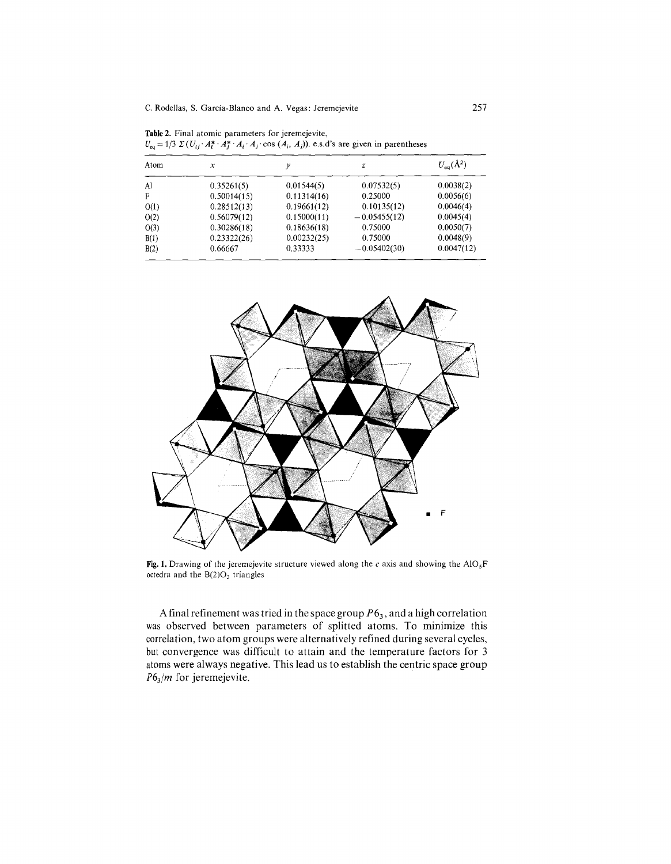C. Rodellas, S. Garcia-Blanco and A. Vegas: Jeremejevite 257

**Table** 2. Final atomic parameters for jeremejevite,

 $U_{eq} = 1/3 \Sigma (U_{ij} \cdot A_i^* \cdot A_j^* \cdot A_i \cdot A_j \cdot \cos (A_i, A_j))$ . e.s.d's are given in parenthes Atom *x*  $U_{\infty}(\mathring{A}^2)$ *y z*

| ,,,,,,, | A           |             |                | $V_{eq}$ ( $\sim$ ) |
|---------|-------------|-------------|----------------|---------------------|
| Al      | 0.35261(5)  | 0.01544(5)  | 0.07532(5)     | 0.0038(2)           |
| F       | 0.50014(15) | 0.11314(16) | 0.25000        | 0.0056(6)           |
| O(1)    | 0.28512(13) | 0.19661(12) | 0.10135(12)    | 0.0046(4)           |
| O(2)    | 0.56079(12) | 0.15000(11) | $-0.05455(12)$ | 0.0045(4)           |
| O(3)    | 0.30286(18) | 0.18636(18) | 0.75000        | 0.0050(7)           |
| B(1)    | 0.23322(26) | 0.00232(25) | 0.75000        | 0.0048(9)           |
| B(2)    | 0.66667     | 0.33333     | $-0.05402(30)$ | 0.0047(12)          |
|         |             |             |                |                     |



Fig. 1. Drawing of the jeremejevite structure viewed along the c axis and showing the  $AIO_5F$ octedra and the  $B(2)O<sub>3</sub>$  triangles

A final refinement was tried in the space group  $P6<sub>3</sub>$ , and a high correlatio was observed between parameters of splitted atoms. To minimize this correlation, two atom groups were alternatively refined during several cycles, but convergence was difficult to attain and the temperature factors for 3 atoms were always negative. This lead us to establish the centric space group *P63/m* for jeremejevite.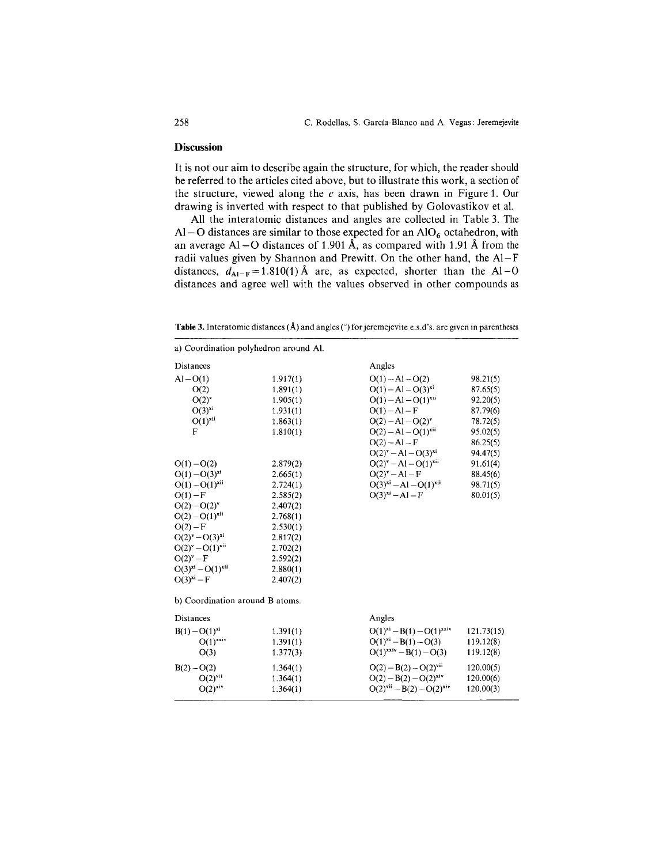#### **Discussion**

It is not our aim to describe again the structure, for which, the reader should be referred to the articles cited above, but to illustrate this work, a section of the structure, viewed along the *e* axis, has been drawn in Figure 1. Our drawing is inverted with respect to that published by Golovastikov et al.

All the interatomic distances and angles are collected in Table 3. The Al-O distances are similar to those expected for an  $AIO<sub>6</sub>$  octahedron, with an average Al - O distances of 1.901 Å, as compared with 1.91 Å from the radii values given by Shannon and Prewitt. On the other hand, the Al- F distances,  $d_{A1-F} = 1.810(1)$  Å are, as expected, shorter than the Al-O distances and agree well with the values observed in other compounds as

Table 3. Interatomic distances (Å) and angles (°) for jeremejevite e.s.d's. are given in parentheses

| a) Coordination polyhedron around Al. |          |                                  |            |
|---------------------------------------|----------|----------------------------------|------------|
| Distances                             |          | Angles                           |            |
| $Al - O(1)$                           | 1.917(1) | $O(1) - Al - O(2)$               | 98.21(5)   |
| O(2)                                  | 1.891(1) | $O(1) - Al - O(3)^{xi}$          | 87.65(5)   |
| $O(2)$ <sup>v</sup>                   | 1.905(1) | $O(1) - Al - O(1)^{xii}$         | 92.20(5)   |
| $O(3)^{xi}$                           | 1.931(1) | $O(1) - Al - F$                  | 87.79(6)   |
| $O(1)^{xii}$                          | 1.863(1) | $O(2) - Al - O(2)v$              | 78.72(5)   |
| F                                     | 1.810(1) | $O(2) - Al - O(1)xii$            | 95.02(5)   |
|                                       |          | $O(2) - Al - F$                  | 86.25(5)   |
|                                       |          | $O(2)^{v} - Al - O(3)^{xi}$      | 94.47(5)   |
| $O(1) - O(2)$                         | 2.879(2) | $O(2)^v - Al - O(1)^{xii}$       | 91.61(4)   |
| $O(1) - O(3)^{xi}$                    | 2.665(1) | $O(2)^{v} - Al - F$              | 88.45(6)   |
| $O(1) - O(1)^{xii}$                   | 2.724(1) | $O(3)^{xi} - Al - O(1)^{xii}$    | 98.71(5)   |
| $O(1)-F$                              | 2.585(2) | $O(3)^{xi} - Al - F$             | 80.01(5)   |
| $O(2) - O(2)^{v}$                     | 2.407(2) |                                  |            |
| $O(2) - O(1)^{xii}$                   | 2.768(1) |                                  |            |
| $O(2) - F$                            | 2.530(1) |                                  |            |
| $O(2)^{v} - O(3)^{xi}$                | 2.817(2) |                                  |            |
| $O(2)^{v} - O(1)^{x^{11}}$            | 2.702(2) |                                  |            |
| $O(2)^{v} - F$                        | 2.592(2) |                                  |            |
| $O(3)^{xi} - O(1)^{xii}$              | 2.880(1) |                                  |            |
| $O(3)xi - F$                          | 2.407(2) |                                  |            |
| b) Coordination around B atoms.       |          |                                  |            |
| Distances                             |          | Angles                           |            |
| $B(1) - O(1)^{xi}$                    | 1.391(1) | $O(1)^{xi} - B(1) - O(1)^{xxi}$  | 121.73(15) |
| $O(1)^{x x i v}$                      | 1.391(1) | $O(1)^{xi} - B(1) - O(3)$        | 119.12(8)  |
| O(3)                                  | 1.377(3) | $O(1)^{x x i v} - B(1) - O(3)$   | 119.12(8)  |
| $B(2) - O(2)$                         | 1.364(1) | $O(2) - B(2) - O(2)^{vii}$       | 120.00(5)  |
| $O(2)$ <sup>vii</sup>                 | 1.364(1) | $O(2) - B(2) - O(2)^{xiv}$       | 120.00(6)  |
| $O(2)^{xiv}$                          | 1.364(1) | $O(2)^{vii} - B(2) - O(2)^{xiv}$ | 120,00(3)  |
|                                       |          |                                  |            |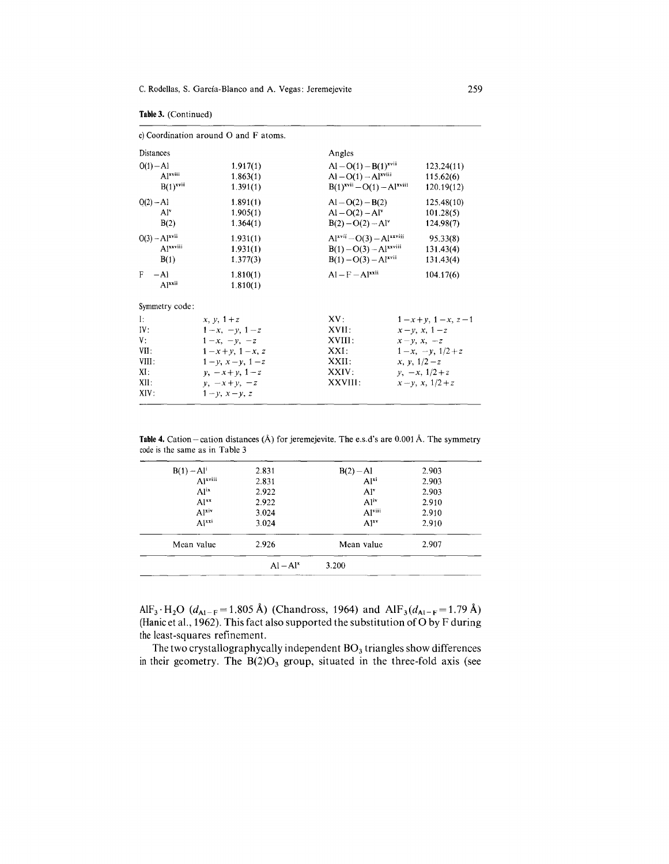|                                                           | c) Coordination around $O$ and $F$ atoms.                                                                                                                                |                                                                                        |                                                                                                                                                     |
|-----------------------------------------------------------|--------------------------------------------------------------------------------------------------------------------------------------------------------------------------|----------------------------------------------------------------------------------------|-----------------------------------------------------------------------------------------------------------------------------------------------------|
| <b>Distances</b>                                          |                                                                                                                                                                          | Angles                                                                                 |                                                                                                                                                     |
| $O(1) - Al$<br>Alxviii<br>$B(1)^{x}$ vii                  | 1.917(1)<br>1.863(1)<br>1.391(1)                                                                                                                                         | $AI - O(1) - B(1)^{xvi}$<br>$AI - O(1) - Alxviii$<br>$B(1)^{xvii} - O(1) - Al^{xviii}$ | 123.24(11)<br>115.62(6)<br>120.19(12)                                                                                                               |
| $O(2) - Al$<br>Al <sup>v</sup><br>B(2)                    | 1.891(1)<br>1.905(1)<br>1.364(1)                                                                                                                                         | $Al - O(2) - B(2)$<br>$Al - O(2) - Alv$<br>$B(2) - O(2) - Al^{\gamma}$                 | 125.48(10)<br>101.28(5)<br>124.98(7)                                                                                                                |
| $O(3) - Al^{xvii}$<br>Alxxviii<br>B(1)                    | 1.931(1)<br>1.931(1)<br>1.377(3)                                                                                                                                         | $Alxvii - O(3) - Alxxviii$<br>$B(1) - O(3) - Alxxviii$<br>$B(1) - O(3) - Al^{xvii}$    | 95.33(8)<br>131.43(4)<br>131.43(4)                                                                                                                  |
| F<br>$-A1$<br>$A1^{xxii}$                                 | 1.810(1)<br>1.810(1)                                                                                                                                                     | $AI = F = A1$ <sup>xxii</sup>                                                          | 104.17(6)                                                                                                                                           |
| Symmetry code:                                            |                                                                                                                                                                          |                                                                                        |                                                                                                                                                     |
| Ŀ<br>IV:<br>V:<br>VII:<br>VIII:<br>XI:<br>$XII$ :<br>XIV: | $x, y, 1+z$<br>$1-x, -\nu, 1-z$<br>$1-x, -v, -z$<br>$1-x+y$ , $1-x$ , z<br>$1 - y$ , $x - y$ , $1 - z$<br>$\nu, -x + y, 1 - z$<br>$y, -x+y, -z$<br>$1 - v$ , $x - v$ , z | XV:<br>XVII:<br>XVIII:<br>XXI:<br>XXII:<br>XXIV:<br>XXVIII:                            | $1-x+y$ , $1-x$ , $z-1$<br>$x-y$ , $x$ , $1-z$<br>$x-y, x, -z$<br>$1-x, -\nu, 1/2+z$<br>$x, y, 1/2-z$<br>$y, -x, 1/2 + z$<br>$x - y$ , x, $1/2 + z$ |

**Table** 3. (Continued)

**Table 4.** Cation-cation distances (A) for jeremejevite. The e.s.d's are 0.001 A. The symmetry code is the same as in Table 3

|                     | $Al - Alx$ | 3.200              |       |
|---------------------|------------|--------------------|-------|
| Mean value          | 2.926      | Mean value         | 2.907 |
| $A^{1xxi}$          | 3.024      | $Al^{xy}$          | 2.910 |
| Al <sup>xiv</sup>   | 3.024      | Al <sub>viii</sub> | 2.910 |
| $Al^{xx}$           | 2.922      | Al <sup>iv</sup>   | 2.910 |
| Al <sup>ix</sup>    | 2.922      | Al <sup>v</sup>    | 2.903 |
| Al <sup>xviii</sup> | 2.831      | $Al^{xi}$          | 2.903 |
| $B(1) - Al^{i}$     | 2.831      | $B(2) - Al$        | 2.903 |

AlF<sub>3</sub>  $H_2O$  ( $d_{Al-F}$ =1.805 Å) (Chandross, 1964) and AlF<sub>3</sub>( $d_{Al-F}$ =1.79 Å) (Hanic et al., 1962). This fact also supported the substitution of O by F during the least-squares refinement.

The two crystallographycally independent  $BO<sub>3</sub>$  triangles show differences in their geometry. The  $B(2)O_3$  group, situated in the three-fold axis (see